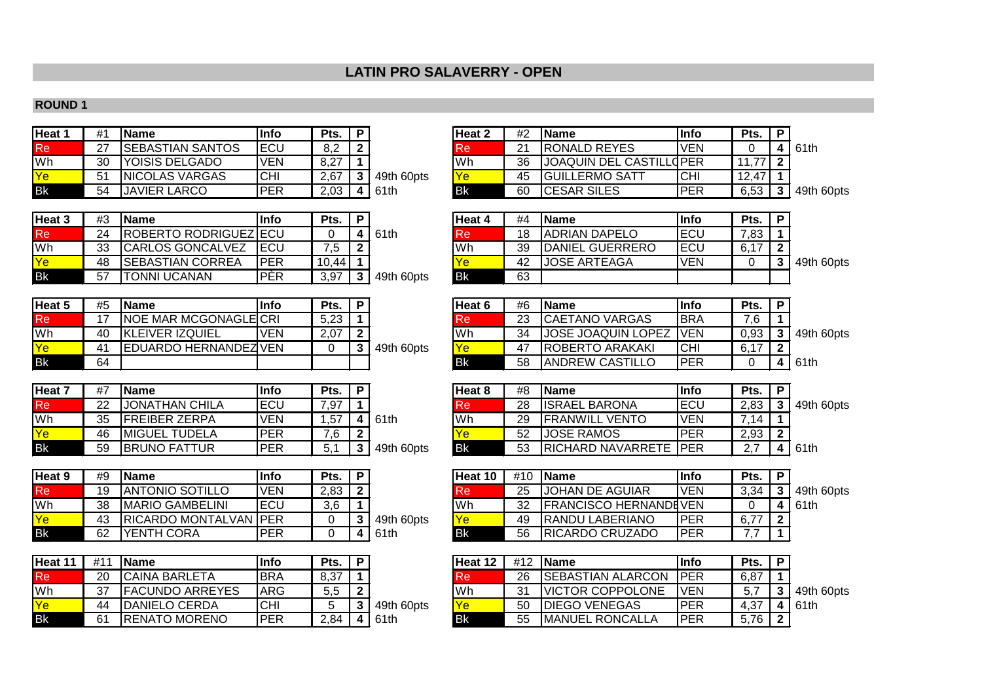# **LATIN PRO SALAVERRY - OPEN**

#### **ROUND 1**

| Heat 1    | #1 | <b>IName</b>             | lInfo      | Pts. | P |            | Heat 2 | #2 | <b>IName</b>            | lInfo      | Pts.  | Ð |            |
|-----------|----|--------------------------|------------|------|---|------------|--------|----|-------------------------|------------|-------|---|------------|
| Re        | 27 | <b>ISEBASTIAN SANTOS</b> | IECU       | 8.2  |   |            | Re     | ີ  | <b>IRONALD REYES</b>    | <b>VEN</b> |       |   | l 61th     |
| <b>Wh</b> | 30 | YOISIS DELGADO           | <b>VEN</b> | 8,27 |   |            | Wh     | 36 | JOAQUIN DEL CASTILLOPER |            | 77    |   |            |
| Ye        | 51 | <b>INICOLAS VARGAS</b>   | ICHI       | 2,67 |   | 49th 60pts | Ye     | 45 | <b>IGUILLERMO SATT</b>  | ICHI       | 12.47 |   |            |
| <b>Bk</b> | 54 | <b>JAVIER LARCO</b>      | IPER       | 2,03 | 4 | 161th      | Bk     | 60 | <b>ICESAR SILES</b>     | IPER       | 6,53  |   | 49th 60pts |

| Heat 3    | #3       | <b>IName</b>                   | lInfo      | Pts.  | Ð |            | Heat 4    | #4 | <b>IName</b>            | lInfo      | Pts.          |  |
|-----------|----------|--------------------------------|------------|-------|---|------------|-----------|----|-------------------------|------------|---------------|--|
| Re        | 24       | <b>IROBERTO RODRIGUEZ JECU</b> |            |       |   | 61th       | кe        | 18 | <b>IADRIAN DAPELO</b>   | IECU       | 7,83          |  |
| <b>Wh</b> | つつ<br>ບບ | <b>ICARLOS GONCALVEZ</b>       | IECU       | .ხ    |   |            | <b>Wh</b> | 39 | <b>IDANIEL GUERRERO</b> | IECU       | $\rightarrow$ |  |
| <b>Ye</b> | 48       | <b>ISEBASTIAN CORREA</b>       | <b>PER</b> | 10.44 |   |            |           | 42 | JOSE ARTEAGA            | <b>VEN</b> |               |  |
| <b>Bk</b> | 57       | <b>TONNI UCANAN</b>            | PÉR        | 3,97  |   | 49th 60pts | l Bk      | 63 |                         |            |               |  |

| Heat 5    | #5 | <b>Name</b>                   | lInfo      | Pts. |            | Heat 6     | #6 | <b>Name</b>               | lInfo       | Pts. |      |
|-----------|----|-------------------------------|------------|------|------------|------------|----|---------------------------|-------------|------|------|
| Re        |    | <b>INOE MAR MCGONAGLEICRI</b> |            | 5,23 |            |            | 23 | <b>CAETANO VARGAS</b>     | <b>IBRA</b> | 7,6  |      |
| Wh        | 40 | <b>IKLEIVER IZQUIEL</b>       | <b>VEN</b> | 2,07 |            | <b>IWh</b> | 34 | <b>JOSE JOAQUIN LOPEZ</b> | <b>IVEN</b> | 0,93 | 49th |
| Ye        | 4' | EDUARDO HERNANDEZIVEN         |            |      | 49th 60pts |            | 47 | IROBERTO ARAKAKI          | ICHI        | 6,17 |      |
| <b>Bk</b> | 64 |                               |            |      |            | <b>Bk</b>  | 58 | <b>ANDREW CASTILLO</b>    | <b>IPER</b> |      | 61th |

| Heat <sup>-</sup> | #7 | <b>IName</b>          | Info | Pts.                 |            | Heat 8    | #8 | l Name                 | 'Infc       | Pts.     |      |
|-------------------|----|-----------------------|------|----------------------|------------|-----------|----|------------------------|-------------|----------|------|
| Re                | 22 | JONATHAN CHILA        | ECU  | ′,97                 |            | -Re       | 28 | <b>ISRAEL BARONA</b>   | <b>IECL</b> | 2,83     | 49th |
| Wh                | 35 | FREIBER ZERPA         | VEN  | ,57                  | 61th       | <b>Wh</b> | 29 | <b>FRANWILL VENTO</b>  | VEN         | $\Delta$ |      |
| <u>Ye</u>         | 46 | <b>IMIGUEL TUDELA</b> | PER  | 7 <sup>c</sup><br>.u |            |           | 52 | <b>JOSE RAMOS</b>      | <b>PER</b>  | 2,93     |      |
| <b>Bk</b>         | 59 | <b>BRUNO FATTUR</b>   | PER  |                      | 49th 60pts | l Bk      | 53 | RICHARD NAVARRETE  PER |             |          | 61th |

| Heat 9    | #9 | <b>IName</b>                   | lInfo      | Pts. | Ð |            | Heat 10   | #10 | <b>IName</b>                  | lInfo       | Pts. |                   |
|-----------|----|--------------------------------|------------|------|---|------------|-----------|-----|-------------------------------|-------------|------|-------------------|
| Re        | 19 | <b>JANTONIO SOTILLO</b>        | <b>VEN</b> | 2,83 |   |            | ке        | 25  | JOHAN DE AGUIAR               | IVEN        | 3,34 | $\mid$ 49th 60pts |
| 'Wh       | 38 | <b>IMARIO GAMBELINI</b>        | ECU        | 3,6  |   |            | Wh        | 32  | <b>IFRANCISCO HERNANDEVEN</b> |             |      | l 61th            |
|           | 43 | <b>IRICARDO MONTALVAN IPER</b> |            |      |   | 49th 60pts |           | 49  | <b>RANDU LABERIANO</b>        | IPER        | 6,77 |                   |
| <b>Bk</b> | 62 | IYENTH CORA                    | <b>PER</b> |      |   | 61th       | <b>Bk</b> | 56  | <b>RICARDO CRUZADO</b>        | <b>IPER</b> |      |                   |

| Heat 11   | £1 | <b>IName</b>           | <b>Info</b> | Pts. | Þ          |            | ıHeat 12   | #12 | <b>IName</b>              | lInfo      | Pts. | D                      |
|-----------|----|------------------------|-------------|------|------------|------------|------------|-----|---------------------------|------------|------|------------------------|
| Re        | 20 | <b>ICAINA BARLETA</b>  | <b>BRA</b>  | 8,37 |            |            | <b>Re</b>  | 26  | <b>ISEBASTIAN ALARCON</b> | IPER       | 6,87 |                        |
| Wh        |    | <b>FACUNDO ARREYES</b> | ARG         | 5,5  | $\sqrt{2}$ |            | Wh         | 21  | <b>IVICTOR COPPOLONE</b>  | VEN        | 5,7  |                        |
| Ye        | Δ4 | <b>IDANIELO CERDA</b>  | <b>CHI</b>  |      |            | 49th 60pts | <u>lYe</u> | 50  | <b>IDIEGO VENEGAS</b>     | <b>PER</b> | 4,37 | $\boldsymbol{\Lambda}$ |
| <b>Bk</b> | 61 | RENATO MORENO          | <b>PER</b>  | 2,84 | 4          | 61th       | <b>Bk</b>  | 55  | <b>IMANUEL RONCALLA</b>   | PER        | 5.76 | ⌒                      |

| Heat 2    | #2 | <b>Name</b>                    | Info       | Pts.  | D |           |
|-----------|----|--------------------------------|------------|-------|---|-----------|
| Re        | 21 | RONALD REYES                   | <b>VEN</b> |       |   | 61th      |
| Wh        | 36 | <b>JOAQUIN DEL CASTILLOPER</b> |            |       | ົ |           |
| <b>Ye</b> | 45 | <b>GUILLERMO SATT</b>          | CHI        | 12.47 |   |           |
| Bk        | 60 | <b>CESAR SILES</b>             | PFR        | 6.53  | 3 | 49th 60pt |

| Heat 3 | #3 | <b>IName</b>                 | Info        | Pts.  |            | Heat 4    | #4 | <b>Name</b>            | llnfo       | Pts. | Ð |            |
|--------|----|------------------------------|-------------|-------|------------|-----------|----|------------------------|-------------|------|---|------------|
| Re'    | 24 | <b>ROBERTO RODRIGUEZ ECU</b> |             |       | 61th       | Re        | 18 | <b>JADRIAN DAPELO</b>  | IECU        | 7,83 |   |            |
| Wh     | 33 | <b>CARLOS GONCALVEZ</b>      | <b>IECU</b> |       |            | Wh        | 39 | <b>DANIEL GUERRERO</b> | <b>IECU</b> | 6,17 |   |            |
| Yel    | 48 | <b>ISEBASTIAN CORREA</b>     | IPER        | 10.44 |            |           | 42 | <b>JOSE ARTEAGA</b>    | IVEN        |      |   | 49th 60pts |
| Bk     | 57 | <b>ITONNI UCANAN</b>         | IPER        | 3,97  | 49th 60pts | <b>Bk</b> | 63 |                        |             |      |   |            |

| Heat 5 | #5             | <b>IName</b>                  | Into | Pts. |            | Heat 6    | #6 | <b>IName</b>              | llnfo       | Pts. | Ð |            |
|--------|----------------|-------------------------------|------|------|------------|-----------|----|---------------------------|-------------|------|---|------------|
| Re     |                | <b>INOE MAR MCGONAGLEICRI</b> |      | 5,23 |            | l Re      | 23 | <b>ICAETANO VARGAS</b>    | <b>IBRA</b> | 7.6  |   |            |
| Wh     | 40             | <b>IKLEIVER IZQUIEL</b>       | VEN  | 2,07 |            | 'Wh       | 34 | <b>JOSE JOAQUIN LOPEZ</b> | ' IVEN      | 0,93 |   | 49th 60pts |
| Ye     | 4 <sup>1</sup> | EDUARDO HERNANDEZIVEN         |      |      | 49th 60pts | <b>Ye</b> |    | <b>IROBERTO ARAKAKI</b>   | ICHI        | 6,17 |   |            |
| Вk     | 64             |                               |      |      |            | <b>Bk</b> | 58 | <b>ANDREW CASTILLO</b>    | IPER        |      |   | l 61th     |

| Heat 7 | #7 | <b>IName</b>          | Info       | Pts.     |            | Heat 8    | #8 | <b>Name</b>                   | llnfo      | Pts.     |             |
|--------|----|-----------------------|------------|----------|------------|-----------|----|-------------------------------|------------|----------|-------------|
| Rei    | 22 | IJONATHAN CHILA       | ECU        | 7.97     |            | .Re'      | 28 | <b>ISRAEL BARONA</b>          | IECL       | 2.83     | 49th 60pts  |
| Wh     | 35 | <b>IFREIBER ZERPA</b> | VEN        | .57      | 61th       | Wh        | 29 | <b>FRANWILL VENTO</b>         | IVEN       | .14      |             |
| Ye     | 46 | <b>IMIGUEL TUDELA</b> | PER        | ⇁⌒<br>.O |            |           | 52 | <b>JOSE RAMOS</b>             | <b>PER</b> | 2,93     |             |
| Вk     | 59 | <b>BRUNO FATTUR</b>   | <b>PER</b> |          | 49th 60pts | <b>Bk</b> | 53 | <b>RICHARD NAVARRETE IPER</b> |            | <u>.</u> | <b>61th</b> |

| Heat 10     | #10 | <b>Name</b>                  | <b>Info</b> | Pts. | D |      |
|-------------|-----|------------------------------|-------------|------|---|------|
| <b>I</b> Re | 25  | <b>JOHAN DE AGUIAR</b>       | VFN         | 3.34 |   | 49th |
| Wh          | 32  | <b>FRANCISCO HERNANDEVEN</b> |             |      |   | 61th |
| Ye          | 49  | RANDU LABERIANO              | PFR         |      | າ |      |
| Bk          | 56  | <b>RICARDO CRUZADO</b>       | <b>PFR</b>  |      |   |      |

Re 26 SEBASTIAN ALARCON PER 6,87 1<br>Wh 31 VICTOR COPPOLONE VEN 5,7 3 31 VICTOR COPPOLONE VEN 5,7 3 49th 60pts<br>50 DIEGO VENEGAS PER 4,37 4 61th Ye 50 DIEGO VENEGAS PER 4,37 <mark>4</mark><br>BK 55 MANUEL RONCALLA PER 5,76 **2 4** 61th Bk 55 MANUEL RONCALLA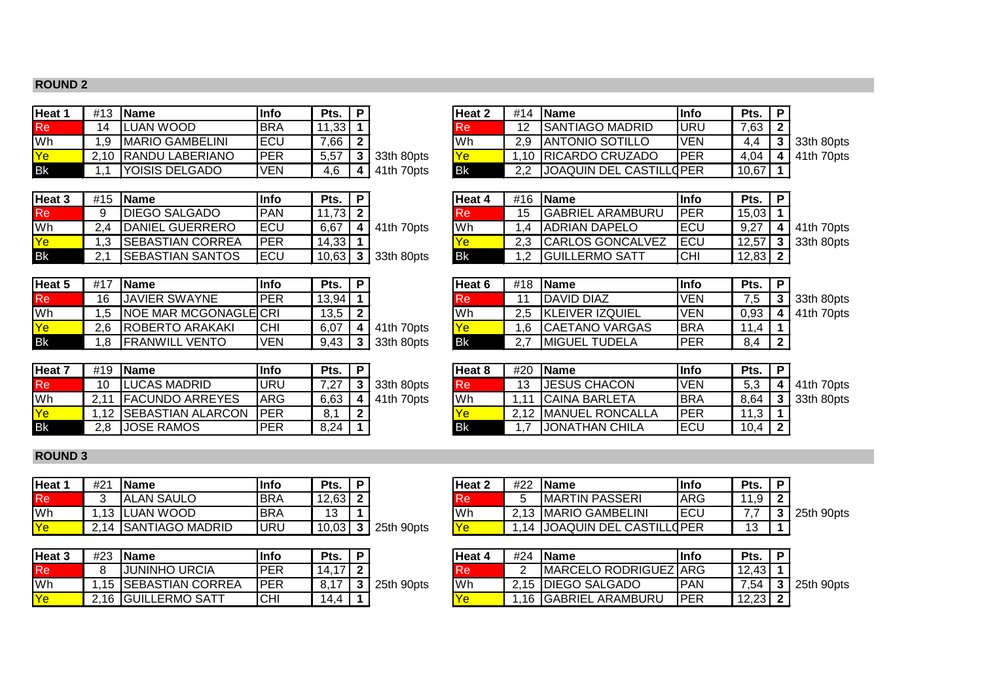#### **ROUND 2**

| Heat | #13  | <b>IName</b>            | lInfo      | Pts.  |            | Heat 2 | <b>#14</b> | <b>Name</b>               | lInfo       | Pts.  |                    |
|------|------|-------------------------|------------|-------|------------|--------|------------|---------------------------|-------------|-------|--------------------|
| Re   | 14   | UAN WOOD.               | <b>BRA</b> | 11,33 |            |        | 12         | <b>SANTIAGO MADRID</b>    | IURL        | ,63   |                    |
| Wh   | 1.9  | <b>IMARIO GAMBELINI</b> | IECU       | 7,66  |            | Wh     | 2.9        | <b>JANTONIO SOTILLO</b>   | IVEN        | 4.4   | 33th 80pts         |
| Ye   | 2.10 | IRANDU LABERIANO        | <b>PER</b> | 5,57  | 33th 80pts |        |            | 10   RICARDO CRUZADO      | <b>IPER</b> | 4,04  | $\vert$ 41th 70pts |
| Bk   |      | <b>IYOISIS DELGADO</b>  | <b>VEN</b> | 4.6   | 41th 70pts | Bk     | າ າ        | IJOAQUIN DEL CASTILL(IPER |             | 10,67 |                    |

| Heat 3     | #15 | <b>IName</b>             | lInfo      | Pts.  |            | Heat 4 | #16 | <b>IName</b>             | lInfo       | Pts.  |                    |
|------------|-----|--------------------------|------------|-------|------------|--------|-----|--------------------------|-------------|-------|--------------------|
| Re         |     | <b>DIEGO SALGADO</b>     | <b>PAN</b> | 73 I  |            |        | 15  | <b>GABRIEL ARAMBURU</b>  | IPER        | 15,03 |                    |
| Wh         | 2.4 | DANIEL GUERRERO          | 'ECU       | 6.67  | 41th 70pts | 'Wh    |     | IADRIAN DAPELO           | IECL        | 9,27  | $\vert$ 41th 70pts |
| <u>lYe</u> |     | <b>ISEBASTIAN CORREA</b> | <b>PER</b> | 14,33 |            |        | 2.3 | <b>ICARLOS GONCALVEZ</b> | <b>IECU</b> | 12.57 | $\vert$ 33th 80pts |
| <b>Bk</b>  |     | <b>ISEBASTIAN SANTOS</b> | IECU       | 10,63 | 33th 80pts | Bk     |     | <b>GUILLERMO SATT</b>    | ICHI        | 12,83 |                    |

| Heat 5    | #17 | <b>IName</b>                  | Info       | Pts.  | Þ |            | lHeat 6   | #18 | <b>IName</b>           | <b>Info</b> | Pts. | - p |
|-----------|-----|-------------------------------|------------|-------|---|------------|-----------|-----|------------------------|-------------|------|-----|
| Re        | 16  | IJAVIER SWAYNE                | PER        | 13,94 |   |            | <b>Re</b> |     | <b>IDAVID DIAZ</b>     | VEN         | .5   |     |
| 'Wh       |     | <b>INOE MAR MCGONAGLEICRI</b> |            | 13,5  |   |            | 'Wh       | 2.5 | <b>KLEIVER IZQUIEL</b> | VEN         | 0,93 |     |
| Ye        | 2.6 | <b>ROBERTO ARAKAKI</b>        | <b>CHI</b> | 6,07  |   | 41th 70pts |           |     | <b>ICAETANO VARGAS</b> | IBRA        |      |     |
| <b>Bk</b> |     | <b>FRANWILL VENTO</b>         | VEN        | 9,43  |   | 33th 80pts | l Bk      |     | <b>IMIGUEL TUDELA</b>  | PER         | 8.4  | ⌒   |

| Heat 7    | #19 | <b>IName</b>            | lInfo       | Pts. | Þ |            | Heat 8    | #20   | <b>IName</b>         | lInfo       | Pts. | D |
|-----------|-----|-------------------------|-------------|------|---|------------|-----------|-------|----------------------|-------------|------|---|
| Re        |     | LUCAS MADRID            | URU         | 7 27 |   | 33th 80pts | l Re      |       | <b>IJESUS CHACON</b> | VEN         | 5,3  |   |
| Wh        |     | <b>IFACUNDO ARREYES</b> | <b>ARG</b>  | 6,63 | 4 | 41th 70pts | lWh       | $-11$ | ICAINA BARLETA       | <b>IBRA</b> | 8,64 |   |
| Ye        |     | 1.12 ISEBASTIAN ALARCON | <b>IPER</b> | 8.1  | ◠ |            |           |       | 2,12 MANUEL RONCALLA | IPER        | 11,3 |   |
| <b>Bk</b> |     | IJOSE RAMOS             | PER         | 8,24 |   |            | <b>Bk</b> |       | IJONATHAN CHILA      | <b>ECU</b>  | 10,4 | 0 |

| Heat 2 | #14 | <b>Name</b>                    | lInfo      | Pts. | D |     |
|--------|-----|--------------------------------|------------|------|---|-----|
| Re     | 12  | <b>SANTIAGO MADRID</b>         | URU        | 7.63 | ົ |     |
| Wh     | 2.9 | <b>ANTONIO SOTILLO</b>         | <b>VEN</b> |      | ີ | 33  |
| Ye     |     | <b>RICARDO CRUZADO</b>         | IPFR       | 4.04 |   | 41. |
| Зk     |     | <b>JOAQUIN DEL CASTILL(PER</b> |            |      |   |     |

| Heat 4    | #16 | <b>Name</b>             | <b>Info</b> | Pts.        | P |                      |
|-----------|-----|-------------------------|-------------|-------------|---|----------------------|
| Re        | 15  | <b>GABRIEL ARAMBURU</b> | <b>PER</b>  | 15,03       |   |                      |
| Wh        | 1.4 | <b>ADRIAN DAPELO</b>    | ECU         | 9.27        |   | $4 \mid 41$ th 70pts |
| Ye        | 2.3 | CARLOS GONCALVEZ        | <b>IECU</b> |             |   | 12,57 3 33th 80pts   |
| <b>Bk</b> | 12  | <b>IGUILLERMO SATT</b>  | CHI         | $12.83$   2 |   |                      |

| Heat 5 | #17 | <b>IName</b>                  | Info       | Pts.  |     |            | Heat 6    | #18 | <b>IName</b>           | linfo       | Pts. |                    |
|--------|-----|-------------------------------|------------|-------|-----|------------|-----------|-----|------------------------|-------------|------|--------------------|
| Re'    | 16  | <b>JAVIER SWAYNE</b>          | <b>PER</b> | 13,94 |     |            | <b>Re</b> |     | <b>DAVID DIAZ</b>      | <b>VEN</b>  | .5   | 33th 80pts         |
| Wh     | .5  | <b>INOE MAR MCGONAGLEICRI</b> |            | 13.5  | - 2 |            | Wh        |     | <b>KLEIVER IZQUIEL</b> | IVEN        | 0,93 | $\vert$ 41th 70pts |
| Ye     | 2.6 | <b>ROBERTO ARAKAKI</b>        | ICHI       | 6.07  |     | 41th 70pts |           |     | <b>ICAETANO VARGAS</b> | <b>IBRA</b> | 11,4 |                    |
| Вk     | .8  | <b>FRANWILL VENTO</b>         | VEN        | 9.43  |     | 33th 80pts | l Bk      |     | <b>IMIGUEL TUDELA</b>  | IPER        | 8.4  |                    |

| Heat 7 | #19 | <b>IName</b>            | Info        | Pts. |            | Heat 8    | #20   | <b>IName</b>            | llnfo       | Pts. | Ð |            |
|--------|-----|-------------------------|-------------|------|------------|-----------|-------|-------------------------|-------------|------|---|------------|
| Re     | 10  | LUCAS MADRID            | URU         | 7 27 | 33th 80pts | l Re      | 13    | <b>JESUS CHACON</b>     | <b>VEN</b>  | 5,3  |   | 41th 70pts |
| Wh     |     | <b>FACUNDO ARREYES</b>  | ARG         | 6,63 | 41th 70pts | lWh       | 1 1 1 | <b>CAINA BARLETA</b>    | <b>IBRA</b> | 8.64 |   | 33th 80pts |
| Yel    |     | I,12  SEBASTIAN ALARCON | <b>IPER</b> | 8.1  |            |           | 2.12  | <b>IMANUEL RONCALLA</b> | IPER        | 11,3 |   |            |
| Вk     | 2,8 | <b>JOSE RAMOS</b>       | <b>PER</b>  | 8.24 |            | <b>Bk</b> |       | IJONATHAN CHILA         | IECL        | 10,4 |   |            |

#### **ROUND 3**

| <b>Heat</b> | #21         | <b>IName</b>            | <b>Info</b> | Pts.  |            | Heat 2 | #22  | <b>IName</b>                   | lInfo       | Pts.     |                |
|-------------|-------------|-------------------------|-------------|-------|------------|--------|------|--------------------------------|-------------|----------|----------------|
| Кe          |             | <b>JALAN SAULO</b>      | <b>BRA</b>  | 12,63 |            |        |      | <b>IMARTIN PASSERI</b>         | <b>JARG</b> | ن, ا     |                |
| Wh          |             | _UAN WOOD               | <b>BRA</b>  | ៱     |            | 'Wh    | 0.40 | GAMBELINI<br><b>IMARIO</b>     | <b>IECL</b> |          | 25th<br>⊦90pts |
|             | $\angle 14$ | <b>ISANTIAGO MADRID</b> | URU         | 10,03 | 25th 90pts |        |      | <b>JOAQUIN DEL CASTILLOPER</b> |             | ៱<br>. ب |                |

| Heat <sub>3</sub> | #23 | <b>IName</b>         | <b>Info</b> | Pts.         | D |              | Heat 4      | #24 | <b>Name</b>                   | <b>Info</b> | Pts.                                | Ð |
|-------------------|-----|----------------------|-------------|--------------|---|--------------|-------------|-----|-------------------------------|-------------|-------------------------------------|---|
| Кe                |     | <b>JUNINHO URCIA</b> | PER         | 17 I<br>14.1 |   |              |             |     | <b>IMARCELO RODRIGUEZ ARG</b> |             | 12.43 $\blacksquare$                |   |
| Wh                |     | .15 SEBASTIAN CORREA | IPER        | 0.17         |   | l 25th 90pts | <b>I</b> Wh |     | 2,15   DIEGO SALGADO          | IPAN        | 7,54                                |   |
| Ye.               |     | 2,16 GUILLERMO SATT  |             |              |   |              |             |     | .16   GABRIEL ARAMBURU        | IPER        | פ ו כרי<br>$\overline{A}$<br>ا ن∠.∠ |   |

| <b>Heat 2</b> | #22 | <b>IName</b>                 | <b>Info</b> | Pts. |   |    |
|---------------|-----|------------------------------|-------------|------|---|----|
| I Re          |     | IMARTIN PASSERI              | IARG        |      | 2 |    |
| lWh           |     | 2,13   MARIO GAMBELINI       | ECU         |      |   | 25 |
| I Y A         |     | 1,14 JOAQUIN DEL CASTILLOPER |             |      |   |    |

| Heat 3 | #23 | <b>IName</b>            | Info       | Pts.        |            | Heat 4 | #24 | <b>IName</b>                  | linfc       | Pts.  |            |
|--------|-----|-------------------------|------------|-------------|------------|--------|-----|-------------------------------|-------------|-------|------------|
| Re'    |     | <b>JUNINHO URCIA</b>    | <b>PER</b> | $14.17$   2 |            | Re     |     | <b>IMARCELO RODRIGUEZ ARG</b> |             | 12,43 |            |
| Wh     |     | ',15   SEBASTIAN CORREA | IPER       |             | 25th 90pts | Wh     |     | 2.15 IDIEGO SALGADO           | <b>IPAN</b> | 7.54  | 25th 90pts |
| Ye     |     | 2.16 GUILLERMO SATT     | <b>CHI</b> | 4.4         |            |        |     | .16 GABRIEL ARAMBURU          | <b>PER</b>  | 12,23 |            |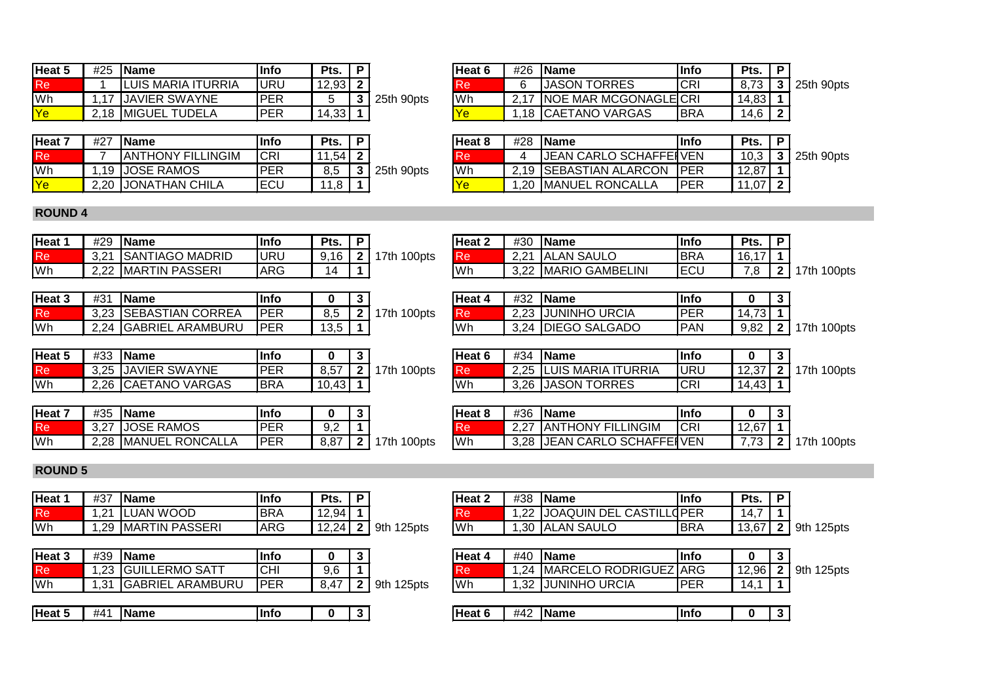| Heat 5                   | #25 | <b>IName</b>               | <b>Info</b> | Pts.  | D. |            | <b>IHeat 6</b> | #26  | <b>IName</b>          | linfo       | Pts.  |                |
|--------------------------|-----|----------------------------|-------------|-------|----|------------|----------------|------|-----------------------|-------------|-------|----------------|
| Re <sup>1</sup>          |     | <b>ILUIS MARIA ITURRIA</b> | URU         | 12,93 |    |            |                |      | <b>JASON TORRES</b>   | ICR         | 8.73  | 25th<br>⊦90pts |
| <b>Wh</b>                |     | <b>JAVIER SWAYNE</b>       | IPER        |       |    | 25th 90pts | lWh            | 0.47 | NOE MAR MCGONAGLEICRI |             | 14,83 |                |
| $\overline{\mathsf{Ye}}$ |     | 2.18 MIGUEL TUDELA         | <b>PER</b>  | 4,33' |    |            |                | .18  | ∣CAETANO VARGAS       | <b>IBRA</b> | ،4,6  |                |

| Heat 7     | #27  | <b>IName</b>              | Info       | Pts.  |            | ط Heat ۶  | #28 | <b>IName</b>                  | lInfo       | Pts.    |                |
|------------|------|---------------------------|------------|-------|------------|-----------|-----|-------------------------------|-------------|---------|----------------|
| <b>Re</b>  |      | <b>JANTHONY FILLINGIM</b> | <b>CRI</b> | ا 54. |            |           |     | <b>JEAN CARLO SCHAFFEINEN</b> |             | 10.3    | 25th<br>⊦90pts |
| lWh        | 19 I | <b>JOSE RAMOS</b>         | <b>PER</b> | 8.5   | 25th 90pts | <b>Wh</b> |     | 2.19 SEBASTIAN ALARCON        | <b>IPER</b> | 12,87   |                |
| <u> Ye</u> | 2,20 | <b>JONATHAN CHILA</b>     | ECU        | o<br> |            |           | .20 | MANUEL RONCALLA               | IPER        | ' 07، ، |                |

| Heat 6   | #26 | <b>Name</b>                  | lInfo | Pts.   | P                 |                 |
|----------|-----|------------------------------|-------|--------|-------------------|-----------------|
| I Re     |     | <b>JASON TORRES</b>          | ICRI  |        |                   | 8.73 3 25th 90p |
| lWh      |     | 2,17   NOE MAR MCGONAGLE CRI |       | 14.83  |                   |                 |
| $\gamma$ |     | 1,18 CAETANO VARGAS          | IBRA  | 14.6 l | $\mathbf{\Omega}$ |                 |

| Heat 8 | #28 | <b>IName</b>                  | <b>Info</b> | Pts.        |     |                |
|--------|-----|-------------------------------|-------------|-------------|-----|----------------|
| Re     |     | <b>JEAN CARLO SCHAFFEIVEN</b> |             |             |     | 10.3 3 25th 90 |
| Wh     |     | 2,19 SEBASTIAN ALARCON        | <b>IPER</b> | $12.87$   1 |     |                |
| Ye     |     | 1.20 MANUEL RONCALLA          | IPFR        | 11107       | 121 |                |

## **ROUND 4**

| Heat ' | #29          | <b>IName</b>            | llnfc | Pts.               |                | Heat 2      | #30         | <b>Name</b>                 | <b>Info</b> | Pts.             |                |
|--------|--------------|-------------------------|-------|--------------------|----------------|-------------|-------------|-----------------------------|-------------|------------------|----------------|
| Кe     | 3,21         | <b>ISANTIAGO MADRID</b> | URU   | 0.4C<br>- 10<br>J. | 100pts<br>17th | Re          | 2.21<br>ے.∠ | <b>ALAN SAULO</b>           | <b>BRA</b>  | 47<br>16<br>ו טי |                |
| Wh     | റ ററ<br>تەتە | <b>MARTIN PASSERI</b>   | ARG   | IΔ                 |                | <b>I</b> Wh | ה ה         | ) GAMBELINI<br><b>MARIO</b> | <b>IECL</b> | . .              | 100pts<br>'7th |

| Heat 3          | #31  | <b>Name</b>             | <b>Info</b> |                   |                 | Heat 4 | #32          | <b>Name</b>                    | lInfo      |                         | . . |                         |
|-----------------|------|-------------------------|-------------|-------------------|-----------------|--------|--------------|--------------------------------|------------|-------------------------|-----|-------------------------|
| Re <sup>'</sup> |      | 3,23 SEBASTIAN CORREA   | <b>PER</b>  | 0E<br>c.o         | 100pts<br>`7th∶ | Re     | າ າາ<br>د∠.∠ | <b>URCIA</b><br><b>JUNINHO</b> | <b>PER</b> | 4.731<br>$\overline{A}$ |     |                         |
| Wh              | 2.24 | <b>GABRIEL ARAMBURU</b> | <b>PER</b>  | $\sqrt{2}$<br>.ა. |                 | Wh     | 3.24         | √ ∣DIEGO SALGADC               | <b>PAN</b> | 9,82                    |     | 100pts<br><b>2</b> 17th |

| Heat 5 | #33  | <b>IName</b>         | 'Info       |                               | . . |                | Heat 6      | #34          | <b>IName</b>                    | llnfo       |                         |                |
|--------|------|----------------------|-------------|-------------------------------|-----|----------------|-------------|--------------|---------------------------------|-------------|-------------------------|----------------|
|        | 3,25 | <b>JAVIER SWAYNE</b> | <b>IDER</b> | $\sim$ $-$<br>ο.υ             |     | 100pts<br>17th | 110         | つつに<br>ں ∠,∠ | i MARIA ITURRIA<br><b>ILUIS</b> | <b>URL</b>  | 10 OZ L<br>، ∠.ی،       | 100pts<br>17th |
| 'Wh    | 2,26 | VARGAS<br>i  CAETANO | IBRA        | $\sim$<br>$\sim$<br>.43<br>u. |     |                | <b>I</b> Wh | 3,26         | <b>TORRES</b><br><b>JASON</b>   | <b>ICRI</b> | 14,43<br>$\overline{A}$ |                |

| Heat 7 | #35                 | <b>Name</b>          | linfo      |      |                | Heat 8 | #36         | <b>Name</b>                   | llnfc |                           |                |
|--------|---------------------|----------------------|------------|------|----------------|--------|-------------|-------------------------------|-------|---------------------------|----------------|
| Кe     | $\Omega$<br>ـ ∕ ∠.د | <b>JOSE RAMOS</b>    | IPER       | ◡.   |                | Re     | 0.07<br>ے.∠ | <b>JANTHONY FILLINGIM</b>     | ICRI  | .2,67'<br>$\overline{10}$ |                |
| Wh     |                     | 2,28 MANUEL RONCALLA | IPER<br>LN | 8,87 | 17th<br>100pts | Wh     | 3,28        | <b>JEAN CARLO SCHAFFEIVEN</b> |       | $-$                       | 100pts<br>17th |

| Heat 2    | #30  | <b>Name</b>          | <b>Info</b> | Pts.  | Р |              |
|-----------|------|----------------------|-------------|-------|---|--------------|
| <b>Re</b> | 2.21 | <b>ALAN SAULO</b>    | <b>BRA</b>  | 16,17 |   |              |
| Wh        |      | 3,22 MARIO GAMBELINI | ECU         | 7.8   |   | 2   17th 100 |
|           |      |                      |             |       |   |              |
| Heat 4    | #32  | <b>IName</b>         | <b>Info</b> |       | 3 |              |
| <b>Re</b> | 2.23 | <b>JUNINHO URCIA</b> | <b>PER</b>  | 14.73 |   |              |
| Wh        | 3.24 | <b>DIEGO SALGADO</b> | <b>PAN</b>  | 9.82  |   | 2   17th 100 |

| Heat 6    | #34 | <b>IName</b>            | <b>Info</b> |             | 2 |                        |
|-----------|-----|-------------------------|-------------|-------------|---|------------------------|
| <b>Re</b> |     | 2,25 LUIS MARIA ITURRIA | IURU        |             |   | 12,37   2   17th 100pt |
| <b>Wh</b> |     | 3.26 JASON TORRES       | CRI         | $14,43$   1 |   |                        |

| Heat 8 | $\#36$ Name                   | lInfo |       |               |
|--------|-------------------------------|-------|-------|---------------|
| 'Re i  | 2.27 IANTHONY FILLINGIM       | ICRI  | 12,67 |               |
| Wh     | 3,28 JJEAN CARLO SCHAFFEI VEN |       |       | 7,73 2 17th 1 |

## **ROUND 5**

| Heat <sup>1</sup> | #37            | <b>Name</b>       | lInfo      | Pts.                    |   |               | Heat 2      | #38        | <b>Name</b>                         | Info        | Pts.           |                 |
|-------------------|----------------|-------------------|------------|-------------------------|---|---------------|-------------|------------|-------------------------------------|-------------|----------------|-----------------|
| Re                | $\Omega$<br>ے. | <b>ILUAN WOOD</b> | <b>BRA</b> | $\overline{ }$<br>.2.94 |   |               |             | ററ         | <b>CASTIL</b><br><b>JOAQUIN DEL</b> | <b>OPER</b> | 14.            |                 |
| Wh                | .29            | MARTIN PASSERI    | <b>ARG</b> | 2,24                    | ◠ | 125pts<br>9th | <b>I</b> Wh | ?∩_<br>טט. | AN SAULO<br>-IAL                    | <b>BRA</b>  | 12.07<br>.J.OT | 125pts<br>' 9th |

| Heat 3    | #39 | <b>IName</b>             | llnfo      |      |   |               | Heat 4    | #40 | <b>IName</b>          | <b>I</b> nfo | O     |            |
|-----------|-----|--------------------------|------------|------|---|---------------|-----------|-----|-----------------------|--------------|-------|------------|
| Re        |     | .23 GUILLERMO SATT       | <b>CHI</b> | 9,6  |   |               | 'Re       | .24 | MARCELO RODRIGUEZ ARG |              | 12,96 | 9th 125pts |
| <b>Wh</b> | .31 | <b>IGABRIEL ARAMBURU</b> | PER        | 47.ر |   | 125pts<br>9th | <b>Wh</b> | .32 | <b>JUNINHO URCIA</b>  | <b>IPER</b>  | 14.   |            |
|           |     |                          |            |      |   |               |           |     |                       |              |       |            |
| Heat 5    | #41 | <b>IName</b>             | lInfo      |      | - |               | Heat 6    | #42 | <b>IName</b>          | <u>I</u> nfo | Ω     |            |

| Heat 2 | $\#38$ Name                   | Info       | Pts. $ P $       |  |
|--------|-------------------------------|------------|------------------|--|
| Re     | 1,22 JJOAQUIN DEL CASTILLOPER |            | $14.7$   1       |  |
| Wh     | 1,30 ALAN SAULO               | <b>BRA</b> | $13,67$ 2 9th 12 |  |

| Heat 4    | #40  | l Name                         | <b>Info</b> |               |  |
|-----------|------|--------------------------------|-------------|---------------|--|
| Re        |      | 1,24   MARCELO RODRIGUEZ   ARG |             | 12,96 2 9th 1 |  |
| <b>Wh</b> | 1.32 | <b>IJUNINHO URCIA</b>          | PFR         |               |  |

| Heat 6 | #4 <sup>r</sup> | <b>Name</b> | Info | ſ |  |
|--------|-----------------|-------------|------|---|--|
|        |                 |             |      |   |  |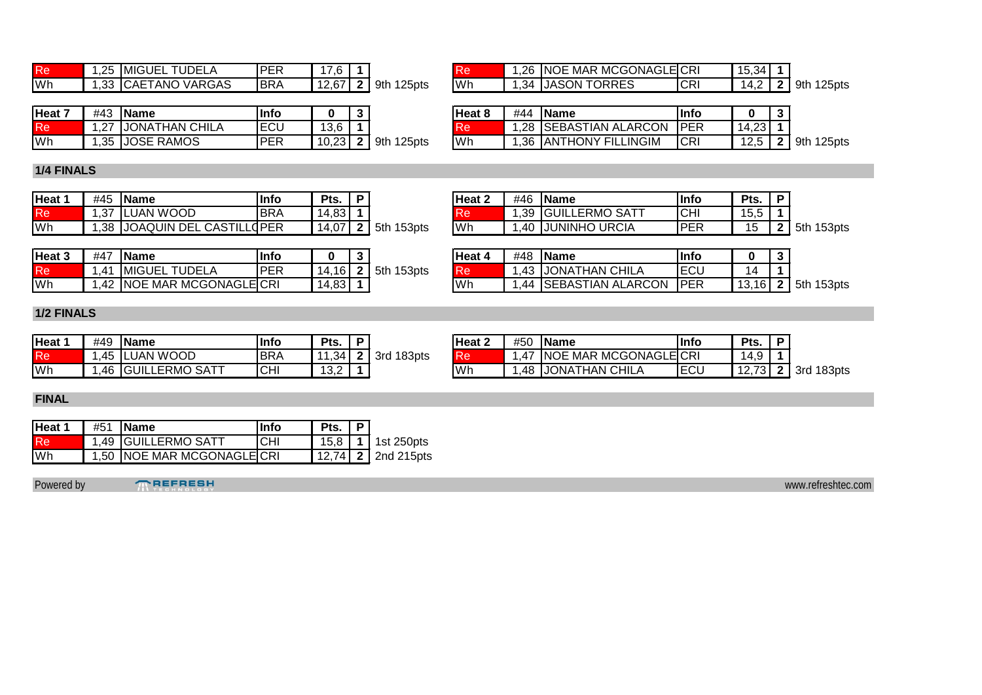| Re        | $\sim$<br>$\overline{\phantom{a}}$ | TUDEL <sub>/</sub><br>™ IMIGUEL | PER         | $\sim$<br>ں .    |                 | w         | .26    | NOE MAR MCGONAGLECRI   |           | 15,34      |                 |
|-----------|------------------------------------|---------------------------------|-------------|------------------|-----------------|-----------|--------|------------------------|-----------|------------|-----------------|
| <b>Wh</b> | $\sim$<br>ں                        | VARGAS<br>AETANO<br>ICAE I      | <b>IBRA</b> | 40.07<br>ـ ≀ه.∠، | 125pts<br>I 9th | <b>Wh</b> | - 34 . | TORRES<br><b>JASON</b> | <b>CR</b> | IД<br>т. д | 125pts<br>' 9th |

| l Re        | 1,26 INOE MAR MCGONAGLEICRI |             | $15,34$ 1 |                       |
|-------------|-----------------------------|-------------|-----------|-----------------------|
| <b>I</b> Wh | 1,34 JASON TORRES           | <b>ICRI</b> |           | 14,2   2   9th 125pts |

| Heat 7 | #43          | <b>IName</b>            | lInfo       |                        |               | lHeat 8   | #44        | <b>IName</b>                                 | Info        |                   |                |
|--------|--------------|-------------------------|-------------|------------------------|---------------|-----------|------------|----------------------------------------------|-------------|-------------------|----------------|
| Re     | $\sim$<br>ے. | <b>JONATHAN CHILA</b>   | <b>IECU</b> | $\sqrt{2}$<br>h<br>v,v |               | ке        | 28         | <b>SEBASTIAN ALARCON</b>                     | <b>IPER</b> | ററ<br>14<br>د∠.+  |                |
| Wh     | つに<br>.ں.    | : RAMOS<br><b>IJOSE</b> | IPER        | 10.22<br>∪.∠J          | 125pts<br>9th | <b>Wh</b> | ิวค<br>. ت | <b><i>THONY FILLINGIM</i></b><br><b>IANT</b> | <b>CRI</b>  | $\sqrt{2}$<br>ں ے | 125pts<br>-9tł |

| Heat 8 | #44 | <b>IName</b>               | lInfo       |             |                 |
|--------|-----|----------------------------|-------------|-------------|-----------------|
| Re     |     | 1,28 SEBASTIAN ALARCON PER |             | $14,23$   1 |                 |
| Wh     |     | 1.36 ANTHONY FILLINGIM     | <b>ICRI</b> |             | 12,5 2 9th 125p |

## **1/4 FINALS**

| Heat ' | #45           | <b>IName</b>                                   | lInfo       | Pts.            |                | Heat 2    | #46 | <b>IName</b>         | Info       | Pts.                |                             |
|--------|---------------|------------------------------------------------|-------------|-----------------|----------------|-----------|-----|----------------------|------------|---------------------|-----------------------------|
| Кe     | $\sim$<br>، ت | LUAN WOOD                                      | <b>IBRA</b> | 14.83<br>00.+   |                | w         | .39 | / IGUILLERMO SATT    | <b>CHI</b> | <br>ט, טו           |                             |
| Wh     | วด<br>.ں      | <b>CASTIL.</b><br><b>DEL</b><br><b>JOAQUIN</b> | ∟dPER       | $\sim$<br>14.07 | 153pts<br>-5th | <b>Wh</b> | 40  | <b>JUNINHO URCIA</b> | <b>PER</b> | $\overline{ }$<br>5 | 153pts<br>1.5 <sub>th</sub> |

| Heat 3    | #47                         | <b>IName</b>                | 'Info      |        |               | Heat 4    | #48 | <b>Name</b>              | Info        |         |                  |
|-----------|-----------------------------|-----------------------------|------------|--------|---------------|-----------|-----|--------------------------|-------------|---------|------------------|
| Re        | $.4 \cdot$                  | <b>TUDELA</b><br>⊺ IMIGUEL  | <b>PER</b> | . 16 ' | 153pts<br>5th | l Re      | .43 | <b>JONATHAN CHILA</b>    | IECU        | 4       |                  |
| <b>Wh</b> | $\sqrt{2}$<br>$\rightarrow$ | <b>NOE MAR MCGONAGLECRI</b> |            | 14,83  |               | <b>Wh</b> | 44  | <b>SEBASTIAN ALARCON</b> | <b>IPER</b> | 13.16 L | 153pts<br>$-5th$ |

| Heat 2 | #46 | <b>IName</b>        | <b>Info</b> | Pts.       | P |            |
|--------|-----|---------------------|-------------|------------|---|------------|
| Re     |     | 1,39 GUILLERMO SATT | СHI         | $15.5$   1 |   |            |
| Wh     |     | 1,40 JUNINHO URCIA  | PER         | 15         |   | $2$ 5th 15 |

| Heat 4 | $#48$ Name                 | <b>Info</b> |    | 2 |                        |
|--------|----------------------------|-------------|----|---|------------------------|
| Re     | 1,43 JJONATHAN CHILA       | <b>ECU</b>  | 14 |   |                        |
| lWh    | 1,44 SEBASTIAN ALARCON PER |             |    |   | 13,16   2   5th 153pts |

## **1/2 FINALS**

| Heat ' | #49 | <b>Name</b>              | Infc        | Pts.                   |               | Heat 2 | #50 | <b>Name</b>                        | Infc        | Pts.           |               |
|--------|-----|--------------------------|-------------|------------------------|---------------|--------|-----|------------------------------------|-------------|----------------|---------------|
| κe     | .45 | <b>ILUAN WOOD</b>        | <b>IBRA</b> | 11.34                  | 183pts<br>3rd | NG     | .47 | ≀ MCGONAGLE CRI<br><b>INOE MAR</b> |             | 14,9           |               |
| Wh     | .46 | LERMO SATT<br>S IGUILLE. | <b>CHI</b>  | $\overline{10}$<br>ے,ب |               | Wh     | .48 | <b>JONATHAN CHILA</b>              | <b>IECU</b> | 12.72<br>12. L | 183pts<br>3rd |

| <b>Heat 2</b> | $#50$ IName                 | lInfo | Pts.      | P |                       |
|---------------|-----------------------------|-------|-----------|---|-----------------------|
|               | 1.47 INOE MAR MCGONAGLEICRI |       | $14.9$ 11 |   |                       |
| Wh            | 1,48 JJONATHAN CHILA        | ECU   |           |   | 12,73   2   3rd 183pt |

#### **FINAL**

| Heat 1 | $#51$ Name                  | linfo | Pts. | 1 P |                        |
|--------|-----------------------------|-------|------|-----|------------------------|
| Re:    | 1,49 GUILLERMO SATT         | ICHI  |      |     | 15,8   1   1st 250pts  |
| lWh    | 1,50 INOE MAR MCGONAGLEICRI |       |      |     | 12,74   2   2nd 215pts |

Powered by **TREFRESH** www.refreshtec.com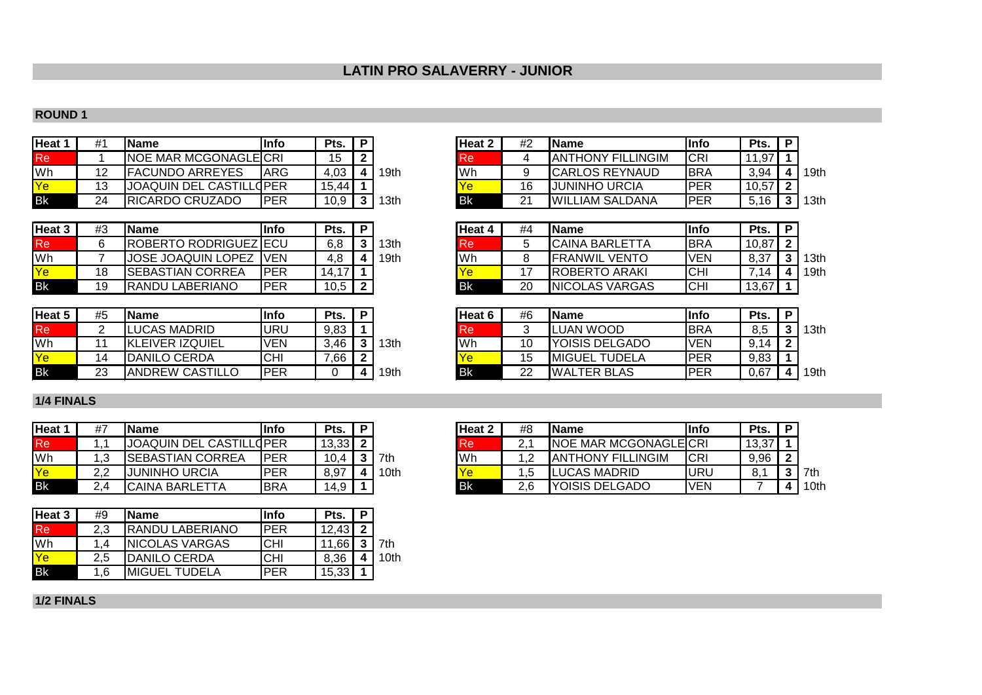# **LATIN PRO SALAVERRY - JUNIOR**

#### **ROUND 1**

| Heat 1    | #1 | <b>Name</b>                  | <b>Info</b> | Pts.  | Heat 2            | #2 | lName                     | llnfo       | Pts.  |
|-----------|----|------------------------------|-------------|-------|-------------------|----|---------------------------|-------------|-------|
| Re        |    | <b>NOE MAR MCGONAGLEICRI</b> |             | 15    | Re                |    | <b>JANTHONY FILLINGIM</b> | <b>ICRI</b> |       |
| Wh        |    | <b>FACUNDO ARREYES</b>       | <b>IARG</b> | 4,03  | <b>Wh</b><br>19th |    | <b>ICARLOS REYNAUD</b>    | <b>IBRA</b> | 3,94  |
| Ye        |    | JOAQUIN DEL CASTILLOPER      |             | 15.44 |                   | 16 | IJUNINHO URCIA            | PER         | 10,57 |
| <b>Bk</b> | 24 | RICARDO CRUZADO              | <b>PER</b>  | 10,9  | <b>Bk</b><br>13th | າ1 | <b>WILLIAM SALDANA</b>    | IPER        | 5.16  |

| Heat 3          | #3 | <b>Name</b>                  | lInfo       | Pts.  | Ð |       | Heat 4    | #4 | <b>IName</b>           | lInfo      | Pts.  | D |
|-----------------|----|------------------------------|-------------|-------|---|-------|-----------|----|------------------------|------------|-------|---|
| Re <sup>1</sup> |    | <b>ROBERTO RODRIGUEZ ECU</b> |             | 6,8   |   | '3th  | <b>Re</b> |    | <b>ICAINA BARLETTA</b> | <b>BRA</b> | 10,87 |   |
| <b>Wh</b>       |    | <b>JOSE JOAQUIN LOPEZ</b>    | <b>IVEN</b> | 4.8   |   | 19th. | Wh        |    | <b>IFRANWIL VENTO</b>  | <b>VEN</b> | 8,37  |   |
| Ye              | 18 | ISEBASTIAN CORREA            | PER         | 14,17 |   |       |           |    | <b>IROBERTO ARAKI</b>  | <b>CHI</b> | .14   |   |
| <b>Bk</b>       | 19 | RANDU LABERIANO              | IPER        | 10,5  |   |       | <b>Bk</b> | 20 | <b>INICOLAS VARGAS</b> | <b>CHI</b> | 13,67 |   |

| Heat 5 | #5 | <b>IName</b>           | <b>Info</b> | Pts. | D |                  | Heat 6 | #6       | <b>IName</b>           | lInfo        | Pts. | D |
|--------|----|------------------------|-------------|------|---|------------------|--------|----------|------------------------|--------------|------|---|
| Re     |    | LUCAS MADRID           | URU         | 9,83 |   |                  | ке     |          | LUAN WOOD              | <b>I</b> BRA | 8,5  | ∍ |
| Wh     |    | <b>KLEIVER IZQUIEL</b> | <b>VEN</b>  | 3.46 |   | 13th             | Wh     | 10       | <b>IYOISIS DELGADO</b> | 'VEN         | .14  | ◠ |
| Ye.    |    | <b>DANILO CERDA</b>    | CHI         | ,66  |   |                  |        | 15       | <b>IMIGUEL TUDELA</b>  | <b>PER</b>   | 9,83 |   |
| Bk     | 23 | IANDREW CASTILLO       | <b>PER</b>  |      |   | <sup>1</sup> 9th | Bk     | າາ<br>∠∠ | <b>WALTER BLAS</b>     | PER          | 0,67 |   |

## **1/4 FINALS**

| Heat 1    | #7  | l Name                  | lInfo      | Pts.  | D |      | <b>Heat 2</b> | #8  | <b>IName</b>                  | Info | Pts.  | D |
|-----------|-----|-------------------------|------------|-------|---|------|---------------|-----|-------------------------------|------|-------|---|
| (Re       |     | JOAQUIN DEL CASTILLOPER |            | 13,33 |   |      | ке            |     | <b>INOE MAR MCGONAGLEICRI</b> |      | 13,37 |   |
| Wh        | ں.  | <b>SEBASTIAN CORREA</b> | <b>PER</b> | 10.4  |   | 7th  | Wh            |     | <b>JANTHONY FILLINGIM</b>     | ICRI | 9,96  |   |
|           | ר ר | JUNINHO URCIA           | <b>PER</b> | 8,97  | Δ | 10th |               |     | <b>I</b> LUCAS MADRID         | URU  | 8.1   | ີ |
| <b>Bk</b> |     | <b>CAINA BARLETTA</b>   | <b>BRA</b> | 14,9  |   |      | <b>Bk</b>     | 2.6 | <b>IYOISIS DELGADO</b>        | IVEN |       |   |

| Heat 3 | #9  | <b>Name</b>           | lInfo      | Pts.  | P |      |
|--------|-----|-----------------------|------------|-------|---|------|
| Re.    | 2.3 | IRANDU LABERIANO      | IPER       | 12,43 | າ |      |
| Wh     | 1.4 | <b>NICOLAS VARGAS</b> | CHI        | 11.66 | າ | 7th  |
| Ye     | 2.5 | <b>DANILO CERDA</b>   | <b>CHI</b> | 8,36  | Δ | 10th |
| Bk     | 1.6 | <b>MIGUEL TUDELA</b>  | <b>PER</b> | 15,33 |   |      |

| Heat 2    | #2 | <b>Name</b>               | <b>Info</b> | Pts.  | D |      |
|-----------|----|---------------------------|-------------|-------|---|------|
| Re        | 4  | <b>JANTHONY FILLINGIM</b> | <b>CRI</b>  | 11,97 |   |      |
| Wh        | 9  | <b>CARLOS REYNAUD</b>     | <b>BRA</b>  | 3.94  |   | 19th |
| <b>Ye</b> | 16 | <b>JUNINHO URCIA</b>      | <b>PER</b>  | 10.57 | າ |      |
| Bk        | 21 | <b>WILLIAM SALDANA</b>    | <b>PFR</b>  | 5.16  | ≏ | 13th |

| Heat 3 | #3 | <b>Name</b>             | <b>Info</b> | Pts.               | Ð |       | Heat 4 | #4 | <b>IName</b>           | <u>I</u> nfo | Pts.  |      |
|--------|----|-------------------------|-------------|--------------------|---|-------|--------|----|------------------------|--------------|-------|------|
| Re     |    | ROBERTO RODRIGUEZ ECU   |             | 6,8                |   | l 3th | Re     |    | CAINA BARLETTA         | <b>IBRA</b>  | 10,87 |      |
| Wh     |    | JOSE JOAQUIN LOPEZ      | <b>IVEN</b> | 4,8                |   | 19th  | Wh     |    | <b>FRANWIL VENTO</b>   | <b>VEN</b>   | 8,37  | 13th |
| Ye     | 18 | <b>SEBASTIAN CORREA</b> | IPER        | 14.17 <sup>1</sup> |   |       |        |    | <b>ROBERTO ARAKI</b>   | ICHI         | 7 14  | 19th |
| Вk     | 19 | RANDU LABERIANO         | IPER        | 10,5               |   |       | Bk     | 20 | <b>INICOLAS VARGAS</b> | <b>CHI</b>   | 13,67 |      |

| Heat 5 | #5 | Name             | <b>Info</b> | Pts. |      | <b>Heat <math>6</math></b> | #6      | lName                 | lInfo       | Pts. |      |
|--------|----|------------------|-------------|------|------|----------------------------|---------|-----------------------|-------------|------|------|
| Re     |    | LUCAS MADRID     | URU         | 9,83 |      | Re                         |         | LUAN WOOD             | <b>IBRA</b> | 8,5  | 13th |
| Wh     |    | 'KLEIVER IZQUIEL | VEN         | .46, | '3th | Wh                         | ៱<br>∣∪ | YOISIS DELGADO        | <b>VEN</b>  | 9,14 |      |
| Ye     |    | DANILO CERDA     | <b>CHI</b>  | 7,66 |      | Ye                         | ں ،     | <b>IMIGUEL TUDELA</b> | <b>PER</b>  | 9,83 |      |
| Βk     | 23 | ANDREW CASTILLO  | IPER        |      | 19th | Bk                         | 22      | <b>IWALTER BLAS</b>   | IPER        | 0,67 | 19th |

| Heat 1 | #7 | <b>Name</b>             | <b>Info</b> | Pts.  |      | Heat 2 | #8  | <b>IName</b>                  | lInfo      | Pts.  |      |
|--------|----|-------------------------|-------------|-------|------|--------|-----|-------------------------------|------------|-------|------|
| Re     |    | JOAQUIN DEL CASTILLOPER |             | 13,33 |      | Re     |     | <b>INOE MAR MCGONAGLEICRI</b> |            | 13,37 |      |
| Wh     |    | SEBASTIAN CORREA        | IPER        | 10,4  | 7th  | Wh     |     | IANTHONY FILLINGIM            | <b>CRI</b> | 9,96  |      |
| Ye     | ററ | JUNINHO URCIA           | IPER        | 8,97  | 10th | Ye     |     | LUCAS MADRID                  | URU        |       | 7th  |
| Bk     |    | CAINA BARLETTA          | IBRA        | 14,9  |      | Bk     | 2.6 | YOISIS DELGADO                | <b>VEN</b> |       | 10th |

**1/2 FINALS**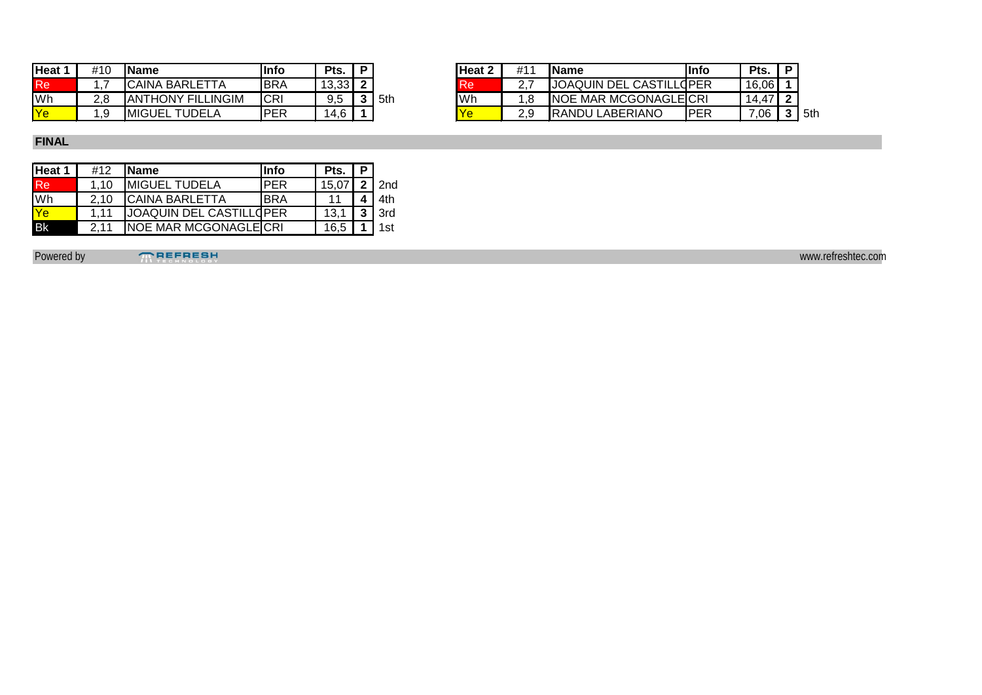| Heat 1    | #10 | <b>IName</b>                    | lInfo       | Pts.              | Ð |     | Heat 1    | #11 | <b>IName</b>                      | llnfc      | $P$ ts. | D |
|-----------|-----|---------------------------------|-------------|-------------------|---|-----|-----------|-----|-----------------------------------|------------|---------|---|
| Re        |     | <b>CAINA BARLETTA</b>           | <b>BRA</b>  | 12.22.1<br>טט,טו  |   |     | <b>Re</b> |     | IJOAQUIN DEL CASTILL              | ∟dPER      | 16,06   |   |
| <b>Wh</b> | 2.8 | <b>ANTHONY FILLINGIM</b>        | ICRI        | 9,5               |   | 5th | Wh        |     | <b>INOE MAR MCGONAGLEICRI</b>     |            | $+47$   |   |
| Ve        | .9  | <b>IMIGUEL</b><br><b>TUDELA</b> | <b>IPER</b> | $\cdot$ $\circ$ . |   |     |           |     | <b>LABERIANO</b><br><b>IRANDU</b> | <b>PER</b> | ,06     | ◠ |

| Heat 1 | #10     | <b>IName</b>               | 'Info       | Pts.  |                  | Heat 2 | #1 <sup>.</sup> | <b>Name</b>                   | lInfo | Pts.  | D   |
|--------|---------|----------------------------|-------------|-------|------------------|--------|-----------------|-------------------------------|-------|-------|-----|
| Re     |         | <b>CAINA BARLETTA</b>      | <b>IBRA</b> | 13,33 | - 110-           |        |                 | IJOAQUIN DEL CASTILL(IPER     |       | 16,06 |     |
| Wh     | າ ໑     | <b>ANTHONY FILLINGIM</b>   | ICRI        | 9.5   | <b>Wh</b><br>5th |        |                 | <b>INOE MAR MCGONAGLEICRI</b> |       | 14,47 |     |
| Ye     | $\cdot$ | <b>IMIGUEL</b><br>. TUDELA | PER         | 4.6   |                  |        | 2,9             | <b>RANDU LABERIANO</b>        | PER   | 06    | 5th |

## **FINAL**

| Heat 1 | #12   | <b>Name</b>                 | lInfo       | Pts.  | P |                    |
|--------|-------|-----------------------------|-------------|-------|---|--------------------|
| Re:    | 1.10  | <b>MIGUEL TUDELA</b>        | <b>IPER</b> | 15,07 |   | $\overline{2}$ 2nd |
| Wh     | 2.10  | CAINA BARLETTA              | IBRA        |       |   | 4th                |
| Ye     | 1 1 1 | JOAQUIN DEL CASTILLOPER     |             | 13,1  |   | $3$   3rd          |
| Bk     | 2.11  | <b>NOE MAR MCGONAGLECRI</b> |             | 16,5  |   | 1st                |

Powered by www.refreshtec.com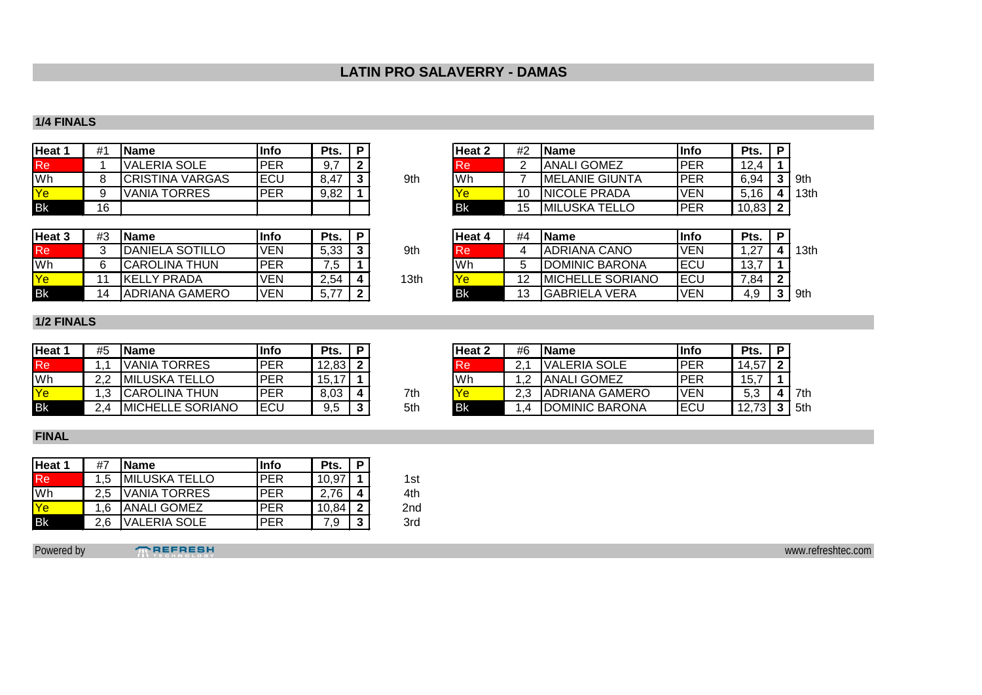# **LATIN PRO SALAVERRY - DAMAS**

#### **1/4 FINALS**

| <b>Heat</b> 1 | #1 | <b>IName</b>           | lInfo      | Pts. | P |     | <b>Heat 2</b> | #2 | l Name                 | <b>Info</b> | Pts.  | D |
|---------------|----|------------------------|------------|------|---|-----|---------------|----|------------------------|-------------|-------|---|
| Re            |    | <b>VALERIA SOLE</b>    | <b>PER</b> | J, I | ◠ |     | <b>IRe</b>    |    | <b>ANALI GOMEZ</b>     | <b>PER</b>  | 12.4  |   |
| Wh            |    | <b>CRISTINA VARGAS</b> | <b>ECU</b> | 8,47 |   | 9th | lWh           |    | <b>IMELANIE GIUNTA</b> | PER         | 6,94  |   |
| Ye            |    | <b>VANIA TORRES</b>    | <b>PER</b> | 9,82 |   |     |               | 10 | <b>INICOLE PRADA</b>   | VEN         | 5.16  |   |
| <b>Bk</b>     | 16 |                        |            |      |   |     | l Bk          |    | <b>IMILUSKA TELLO</b>  | <b>PER</b>  | 10,83 |   |

| Heat 1 | #1 | 'Name                  | lInfo       | Pts. |     | <b>Heat 2</b> | #2 | l Name                 | llnfo       | Pts.  |      |
|--------|----|------------------------|-------------|------|-----|---------------|----|------------------------|-------------|-------|------|
| Re     |    | <b>VALERIA SOLE</b>    | PER         | 9,7  |     | <b>Re</b>     |    | <b>ANALI GOMEZ</b>     | <b>PER</b>  | 12,4  |      |
| Wh     |    | <b>CRISTINA VARGAS</b> | <b>IECU</b> | 8.47 | 9th | Wh            |    | <b>IMELANIE GIUNTA</b> | <b>IPER</b> | 6,94  | ∣9th |
| Ye     |    | <b>VANIA TORRES</b>    | IPER        | 9,82 |     | <b>Ye</b>     | 10 | <b>INICOLE PRADA</b>   | <b>VEN</b>  | 5,16  | 13th |
| Bk     | 16 |                        |             |      |     | l Bk          | 15 | <b>MILUSKA TELLO</b>   | IPER        | 10,83 |      |

| Heat <sub>3</sub> | #3 | <b>Name</b>            | lInfo      | Pts. | Ð |      | Heat 4 | #4 | <b>IName</b>            | llnfo       | Pts. |      |
|-------------------|----|------------------------|------------|------|---|------|--------|----|-------------------------|-------------|------|------|
| Re                |    | <b>DANIELA SOTILLO</b> | <b>VEN</b> | 5,33 |   | 9th  | lRe    |    | <b>ADRIANA CANO</b>     | <b>VEN</b>  | .27  | 13th |
| <b>Wh</b>         |    | <b>CAROLINA THUN</b>   | PER        |      |   |      | 'Wh    |    | <b>DOMINIC BARONA</b>   | 'ECL        | 13,  |      |
| Ye                |    | <b>IKELLY PRADA</b>    | <b>VEN</b> | 2,54 |   | 13th |        |    | <b>MICHELLE SORIANO</b> | <b>IECL</b> | 7.84 |      |
| <b>Bk</b>         |    | <b>ADRIANA GAMERO</b>  | 'VEN       | 5.77 |   |      | Bk     | 12 | <b>GABRIELA VERA</b>    | <b>VEN</b>  | 7.J  | 9th  |

| Heat 3 | #3  | 'Name                  | lInfo | Pts. |      | lHeat 4   | #4 | <b>IName</b>            | Info        | Pts.       |                  |
|--------|-----|------------------------|-------|------|------|-----------|----|-------------------------|-------------|------------|------------------|
| Re     |     | <b>DANIELA SOTILLO</b> | VEN   | 5,33 | 9th  | <b>Re</b> |    | IADRIANA CANO           | <b>VEN</b>  | ,27        | 13 <sub>th</sub> |
| Wh     |     | <b>CAROLINA THUN</b>   | IPER  | c,   |      | lWh       |    | <b>IDOMINIC BARONA</b>  | IECL        | 13.<br>، ب |                  |
| Ye     | A A | IKELLY PRADA           | VEN   | 2,54 | 13th | <b>Ye</b> | 12 | <b>MICHELLE SORIANO</b> | <b>IECU</b> | 7,84       |                  |
| Bk     | 14  | <b>JADRIANA GAMERO</b> | VEN   |      |      | l Bk      | 13 | IGABRIELA VERA          | <b>VEN</b>  | 4.9        | .9th             |

## **1/2 FINALS**

| Heat 1    | #5 | <b>IName</b>             | Info       | Pts.  | P      |     | Heat 2    | #6       | <b>IName</b>           | lInfo      | Pts.          | D |
|-----------|----|--------------------------|------------|-------|--------|-----|-----------|----------|------------------------|------------|---------------|---|
| <b>Re</b> |    | IVANIA TORRES            | <b>PER</b> | 12,83 |        |     | l Re      | <u>.</u> | <b>VALERIA SOLE</b>    | <b>PER</b> | 14,57         |   |
| Wh        | າາ | <b>IMILUSKA TELLO</b>    | <b>PER</b> | 15,17 |        |     | 'Wh       |          | <b>ANALI GOMEZ</b>     | <b>PER</b> | 15,7          |   |
| Ye        | .3 | <b>CAROLINA THUN</b>     | PER        | 8,03  | 4      | 7th | Ye        | റാ       | <b>JADRIANA GAMERO</b> | VEN        | 5,3           |   |
| <b>Bk</b> |    | <b>IMICHELLE SORIANO</b> | 'ECU       | 9,5   | າ<br>w | 5th | <b>Bk</b> |          | <b>IDOMINIC BARONA</b> | <b>ECU</b> | $73$ 3<br>. I |   |

| 7th |  |
|-----|--|
| 5th |  |

| Heat 1 | #5  | <b>IName</b>             | Info | Pts.  |     | Heat 2    | #6 | l Name                | lInfo       | Pts.  |     |
|--------|-----|--------------------------|------|-------|-----|-----------|----|-----------------------|-------------|-------|-----|
| Re     |     | /ANIA TORRES             | PER  | 12,83 |     | l Re'     |    | VALERIA SOLE          | <b>IPER</b> | 14,57 |     |
| Wh     | 2.2 | <b>IMILUSKA TELLO</b>    | PER  | 15,17 |     | <b>Wh</b> |    | <b>ANALI GOMEZ</b>    | IPER        | 15,   |     |
| Ye     | .3  | ICAROLINA THUN           | PER  | 8,03  | 7th |           |    | <b>ADRIANA GAMERO</b> | <b>VEN</b>  | 5,3   | 7th |
| Bk     | 2.4 | <b>IMICHELLE SORIANO</b> | IECU | 9,5   | 5th | <b>Bk</b> |    | DOMINIC BARONA        | <b>ECL</b>  | 12,73 | 5th |

#### **FINAL**

| Heat 1 | #7  | <b>Name</b>          | lInfo      | Pts.           | P |     |
|--------|-----|----------------------|------------|----------------|---|-----|
| Re.    | 1.5 | <b>MILUSKA TELLO</b> | <b>PER</b> | $10.9^{\circ}$ |   | 1st |
| Wh     |     | VANIA TORRES         | <b>PER</b> | 2.76           | 4 | 4th |
| Ye     | 1.6 | <b>ANALI GOMEZ</b>   | <b>PER</b> | 10.84          | ົ | 2nd |
| Bk     | 2.6 | √ALERIA SOLE         | <b>PER</b> | ۰.9            | 3 | 3rd |

Powered by **TREFRESH** www.refreshtec.com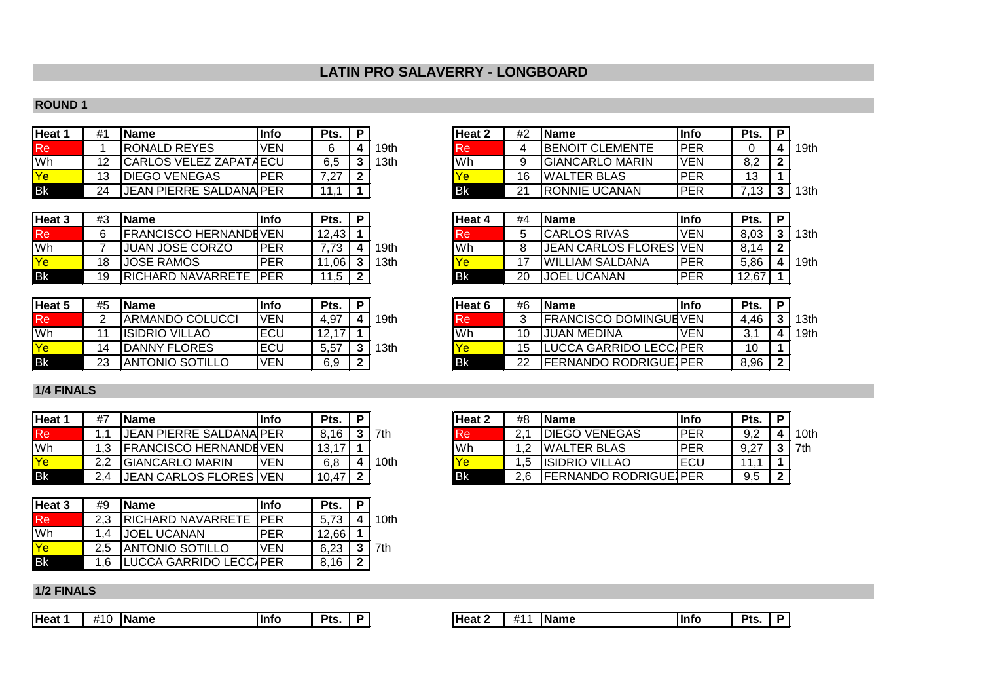# **LATIN PRO SALAVERRY - LONGBOARD**

## **ROUND 1**

| Heat '      | #1 | <b>IName</b>                   | Info | Pts. | Ð |      | lHeat 2 | #2 | l Name                  | <b>Info</b> | Pts. | D |
|-------------|----|--------------------------------|------|------|---|------|---------|----|-------------------------|-------------|------|---|
| Re          |    | <b>IRONALD REYES</b>           | VEN  |      |   | 19th | Re      |    | <b>IBENOIT CLEMENTE</b> | PER         |      |   |
| Wh          |    | ICARLOS VELEZ ZAPATAECU        |      | 6,5  |   | 13th | lWh     |    | IGIANCARLO MARIN        | VEN         | 8,2  | ົ |
| <u>IYel</u> | 13 | <b>IDIEGO VENEGAS</b>          | IPER | 7,27 |   |      |         | 16 | <b>IWALTER BLAS</b>     | <b>PER</b>  |      |   |
| <b>Bk</b>   | 24 | <b>JEAN PIERRE SALDANAIPER</b> |      |      |   |      | l Bk    |    | <b>IRONNIE UCANAN</b>   | PER         |      |   |

| Heat 3    | #3  | <b>IName</b>              | Info       | Pts.                 | Ð |      | lHeat 4 | #4 | <b>IName</b>            | <b>Info</b> | Pts.  | D |
|-----------|-----|---------------------------|------------|----------------------|---|------|---------|----|-------------------------|-------------|-------|---|
| Re        |     | IFRANCISCO HERNANDEVEN    |            | 12,43                |   |      | ιке     |    | <b>ICARLOS RIVAS</b>    | VEN         | 8,03  |   |
| Wh        |     | IJUAN JOSE CORZO          | <b>PER</b> | בי                   |   | 19th | lWh     |    | JEAN CARLOS FLORES IVEN |             | 8.14  |   |
| Ye        | 1 R | IJOSE RAMOS               | PER        | 06۱.                 |   | 13th |         |    | <b>IWILLIAM SALDANA</b> | PER         | 5,86  |   |
| <b>Bk</b> | 19  | <b>IRICHARD NAVARRETE</b> | . IPER.    | .5<br>$\overline{ }$ |   |      | l Bk    | 20 | JOEL<br>. UCANAN        | PER         | 12,67 |   |

| Heat 5    | #5 | <b>IName</b>            | lInfo      | Pts.  | D |      | <b>Heat 6</b> | #6 | <b>IName</b>                   | Info | Pts. | D |
|-----------|----|-------------------------|------------|-------|---|------|---------------|----|--------------------------------|------|------|---|
| Re        |    | <b>IARMANDO COLUCCI</b> | <b>VEN</b> | 4,97  |   | '9th | Re            |    | FRANCISCO DOMINGUEVEN          |      | 4,46 |   |
| Wh        |    | <b>IISIDRIO VILLAO</b>  | ECU        | 2, 11 |   |      | lWh           |    | <b>IJUAN MEDINA</b>            | VEN  | ບ.   |   |
| Ye        | 14 | <b>IDANNY FLORES</b>    | ECU        | 5,57  |   | `3th |               |    | LUCCA GARRIDO LECC/PER         |      |      |   |
| <b>Bk</b> | 23 | <b>ANTONIO SOTILLO</b>  | <b>VEN</b> | 6,9   |   |      | <b>IB</b> k   | ົດ | <b>IFERNANDO RODRIGUE IPER</b> |      | 8,96 |   |

#### **1/4 FINALS**

| Heat 1    | #7  | l Name                         | Info | Pts.  | D |      | <b>Heat 2</b> | #8 | <b>IName</b>           | <b>Info</b> | Pts.            |  |
|-----------|-----|--------------------------------|------|-------|---|------|---------------|----|------------------------|-------------|-----------------|--|
| Re        |     | <b>JEAN PIERRE SALDANA PER</b> |      | 8.16  |   | 7th  | <b>Re</b>     |    | <b>DIEGO VENEGAS</b>   | PER         | 9,2             |  |
| `Wh       |     | <b>IFRANCISCO HERNANDEVEN</b>  |      | 13.17 |   |      | Wh            |    | <b>IWALTER BLAS</b>    | <b>PER</b>  | Q <sub>27</sub> |  |
| Ye        | ົດຕ | IGIANCARLO MARIN               | VEN  | 6.8   |   | 10th |               |    | <b>IISIDRIO VILLAO</b> | .ECU        |                 |  |
| <b>Bk</b> |     | IJEAN CARLOS FLORES IVEN       |      | 10.47 |   |      | l Bk          |    | IFERNANDO RODRIGUEIPER |             | 9,5             |  |

| Heat 3 | #9  | <b>Name</b>                  | llnfo      | Pts.  | D |                  |
|--------|-----|------------------------------|------------|-------|---|------------------|
| Re     | 2.3 | <b>RICHARD NAVARRETE PER</b> |            | 5.73  |   | 10 <sub>th</sub> |
| Wh     |     | <b>JOEL UCANAN</b>           | <b>PFR</b> | 12.66 |   |                  |
| Ye     | 2.5 | <b>ANTONIO SOTILLO</b>       | <b>VEN</b> | 6.23  | 2 | 7th              |
| Bk     | 1.6 | LUCCA GARRIDO LECCAPER       |            | 8.16  | ົ |                  |

| Heat 1    | #1 | <b>IName</b>                   | llnfo | Pts.         |      | <b>Heat 2</b> | #2 | l Name                 | llnfo       | Pts.    |                  |
|-----------|----|--------------------------------|-------|--------------|------|---------------|----|------------------------|-------------|---------|------------------|
| Re        |    | <b>RONALD REYES</b>            | VEN   |              | ∣9th | <b>Re</b>     |    | <b>BENOIT CLEMENTE</b> | <b>IPER</b> |         | 19th             |
| Wh        |    | CARLOS VELEZ ZAPATAECU         |       | 6,5          | ∣3th | lWh           |    | <b>GIANCARLO MARIN</b> | <b>IVEN</b> | 8,2     |                  |
| Ye        | 13 | <b>DIEGO VENEGAS</b>           | IPER  | 7 27<br>$-1$ |      |               | 16 | <b>IWALTER BLAS</b>    | <b>PER</b>  | ៱<br>טו |                  |
| <b>Bk</b> | 24 | <b>JEAN PIERRE SALDANA PER</b> |       |              |      | l Bk          | 21 | <b>RONNIE UCANAN</b>   | IPER        |         | 13 <sub>th</sub> |

| Heat 3 | #3 | 'Name                         | lInfo | Pts.      |      | lHeat 4 | #4 | <b>IName</b>                   | lInfo       | Pts.  |      |
|--------|----|-------------------------------|-------|-----------|------|---------|----|--------------------------------|-------------|-------|------|
| Re     |    | <b>IFRANCISCO HERNANDEVEN</b> |       | 12,43     |      | ке      |    | CARLOS RIVAS                   | <b>VEN</b>  | 8,03  | 13th |
| Wh     |    | <b>JUAN JOSE CORZO</b>        | IPER  | 71        | 19th | Wh      |    | <b>JEAN CARLOS FLORES IVEN</b> |             | 8,14  |      |
| Ye     | 18 | <b>JOSE RAMOS</b>             | PER   | .061      | 13th |         | 17 | <b>IWILLIAM SALDANA</b>        | <b>IPER</b> | 5,86  | 19th |
| Вk     | 19 | <b>RICHARD NAVARRETE IPER</b> |       | 1,5<br>11 |      | l Bk    | 20 | <b>JOEL UCANAN</b>             | IPER        | 12,67 |      |

| Heat 5 | #5 | 'Name                   | llnfo      | Pts.        |      | lHeat 6    | #6 | l Name                       | llnfo      | Pts. |      |
|--------|----|-------------------------|------------|-------------|------|------------|----|------------------------------|------------|------|------|
| Re     |    | <b>ARMANDO COLUCCI</b>  | <b>VEN</b> | 4,97        | ∣9th | Кe         |    | <b>FRANCISCO DOMINGUEVEN</b> |            | 4.46 | 13th |
| Wh     |    | IISIDRIO VILLAO         | IECU       | 1017<br>ι∠, |      | Wh         | 10 | <b>JUAN MEDINA</b>           | <b>VEN</b> | ັ.   | 19th |
| Ye     | 14 | DANNY FLORES            | IECU       | 5,57        | 3th  | <b>Ye</b>  | 15 | LUCCA GARRIDO LECC/JPER      |            | 10   |      |
| Bk     | 23 | <b>JANTONIO SOTILLO</b> | <b>VEN</b> | 6,9         |      | <b>IBK</b> | 22 | <b>FERNANDO RODRIGUE PER</b> |            | 8,96 |      |
|        |    |                         |            |             |      |            |    |                              |            |      |      |

| Heat 1 | #7  | <b>IName</b>                  | llnfo | Pts.  |     | <b>Heat 2</b> | #8    | <b>IName</b>                 | llnfc       | Pts.       |      |
|--------|-----|-------------------------------|-------|-------|-----|---------------|-------|------------------------------|-------------|------------|------|
| Re     |     | JEAN PIERRE SALDANA PER       |       | 8.16  | 7th | Re            |       | <b>DIEGO VENEGAS</b>         | <b>IPER</b> | വ റ<br>◡.← | 10th |
| Wh     |     | <b>IFRANCISCO HERNANDEVEN</b> |       | 13,17 |     | Wł            |       | <b>IWALTER BLAS</b>          | IPER        | 9.27       | 7th. |
| Ye     | っっ  | <b>IGIANCARLO MARIN</b>       | VEN   | 6,8   | 0th |               | . . 0 | IISIDRIO VILLAO              | <b>ECL</b>  |            |      |
| Βk     | 2.4 | <b>JEAN CARLOS FLORES VEN</b> |       | 10,47 |     | <b>Bk</b>     |       | <b>FERNANDO RODRIGUE PER</b> |             | 9,5        |      |

## **1/2 FINALS**

|--|